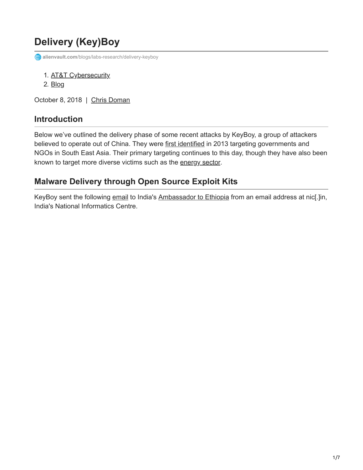# **Delivery (Key)Boy**

**alienvault.com**[/blogs/labs-research/delivery-keyboy](https://www.alienvault.com/blogs/labs-research/delivery-keyboy)

- 1. [AT&T Cybersecurity](https://cybersecurity.att.com/)
- 2. [Blog](https://cybersecurity.att.com/blogs)

October 8, 2018 | [Chris Doman](https://www.alienvault.com/blogs/author/chris-doman)

### **Introduction**

Below we've outlined the delivery phase of some recent attacks by KeyBoy, a group of attackers believed to operate out of China. They were [first identified](https://blog.rapid7.com/2013/06/07/keyboy-targeted-attacks-against-vietnam-and-india/) in 2013 targeting governments and NGOs in South East Asia. Their primary targeting continues to this day, though they have also been known to target more diverse victims such as the [energy sector.](https://researchcenter.paloaltonetworks.com/2016/11/unit42-tropic-trooper-targets-taiwanese-government-and-fossil-fuel-provider-with-poison-ivy/)

### **Malware Delivery through Open Source Exploit Kits**

KeyBoy sent the following [email](https://www.virustotal.com/#/file/91dfd19376574039bc80f3af5de341dd8927993ceb5dbb269c375c150a2c3e20/detection) to India's [Ambassador to Ethiopia](http://indembassyeth.in/list-officers) from an email address at nic[.]in, India's National Informatics Centre.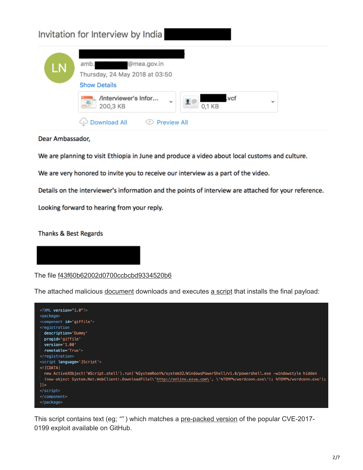| LN | @mea.gov.in<br>amb.<br>Thursday, 24 May 2018 at 03:50<br><b>Show Details</b>                                     |              |
|----|------------------------------------------------------------------------------------------------------------------|--------------|
|    | /Interviewer's Infor<br>.vcf<br>$\sqrt{\frac{Q}{2\pi}}$<br>20<br>$\check{ }$<br>200,3 KB<br>0,1 KB<br>$\sqrt{n}$ | $\checkmark$ |

Dear Ambassador,

We are planning to visit Ethiopia in June and produce a video about local customs and culture.

We are very honored to invite you to receive our interview as a part of the video.

Details on the interviewer's information and the points of interview are attached for your reference.

Looking forward to hearing from your reply.

Thanks & Best Regards

The file [f43f60b62002d0700ccbcbd9334520b6](https://www.virustotal.com/#/file/91dfd19376574039bc80f3af5de341dd8927993ceb5dbb269c375c150a2c3e20/detection)

The attached malicious [document](https://www.hybrid-analysis.com/sample/90499b87dbf34b01b7a899fff943d6d5462e8ef6a42aabd0449c99205302440e/5b079ba17ca3e129ad12a80e) downloads and executes [a script](https://www.virustotal.com/#/file/f8867170dae5fc8cb2d03a8c7d7e53625fa96ccc7b0c62cfac4de6a936819901/community) that installs the final payload:



This script contains text (eg; *""* ) which matches a [pre-packed version](https://github.com/bhdresh/CVE-2017-0199) of the popular CVE-2017- 0199 exploit available on GitHub.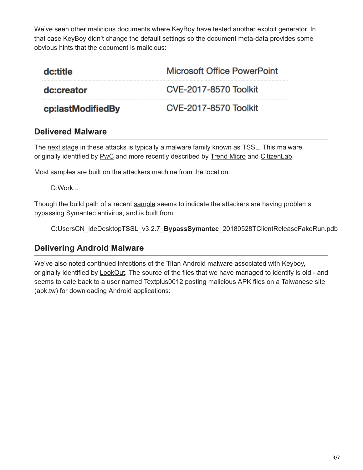We've seen other malicious documents where KeyBoy have [tested](https://www.virustotal.com/en/file/5237f270c2909eb5d851633f92eb067db4a1d1b91fb80890863fa0e8a2f8d33c/analysis/) another exploit generator. In that case KeyBoy didn't change the default settings so the document meta-data provides some obvious hints that the document is malicious:

| dc:title          | Microsoft Office PowerPoint  |
|-------------------|------------------------------|
| dc:creator        | <b>CVE-2017-8570 Toolkit</b> |
| cp:lastModifiedBy | CVE-2017-8570 Toolkit        |

### **Delivered Malware**

The [next stage](https://www.virustotal.com/#/file/fdb85d3f08eb70f0d2171d8bd348574139f63f31a788d2ff1b2a28aca6066345/details) in these attacks is typically a malware family known as TSSL. This malware originally identified by [PwC](https://www.pwc.co.uk/issues/cyber-security-data-privacy/research/the-keyboys-are-back-in-town.html) and more recently described by [Trend Micro](https://blog.trendmicro.com/trendlabs-security-intelligence/tropic-trooper-new-strategy/) and [CitizenLab.](https://citizenlab.ca/2018/08/familiar-feeling-a-malware-campaign-targeting-the-tibetan-diaspora-resurfaces/)

Most samples are built on the attackers machine from the location:

D:Work...

Though the build path of a recent [sample](https://www.virustotal.com/#/file/d910c9c20092051783764f4548f66ca6106259ee9a74545c8146b0475cfb80b7/detection) seems to indicate the attackers are having problems bypassing Symantec antivirus, and is built from:

C:UsersCN\_ideDesktopTSSL\_v3.2.7\_**BypassSymantec**\_20180528TClientReleaseFakeRun.pdb

## **Delivering Android Malware**

We've also noted continued infections of the Titan Android malware associated with Keyboy, originally identified by **LookOut**. The source of the files that we have managed to identify is old - and seems to date back to a user named Textplus0012 posting malicious APK files on a Taiwanese site (apk.tw) for downloading Android applications: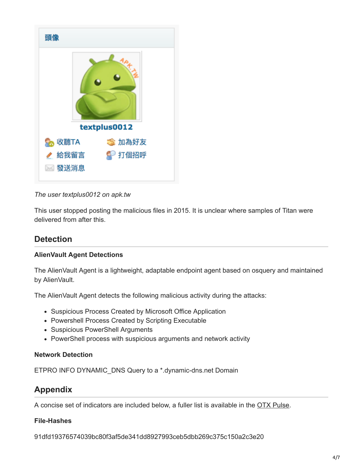

*The user textplus0012 on apk.tw*

This user stopped posting the malicious files in 2015. It is unclear where samples of Titan were delivered from after this.

## **Detection**

### **AlienVault Agent Detections**

The AlienVault Agent is a lightweight, adaptable endpoint agent based on osquery and maintained by AlienVault.

The AlienVault Agent detects the following malicious activity during the attacks:

- Suspicious Process Created by Microsoft Office Application
- Powershell Process Created by Scripting Executable
- Suspicious PowerShell Arguments
- PowerShell process with suspicious arguments and network activity

### **Network Detection**

ETPRO INFO DYNAMIC\_DNS Query to a \*.dynamic-dns.net Domain

### **Appendix**

A concise set of indicators are included below, a fuller list is available in the [OTX Pulse](https://otx.alienvault.com/pulse/5bba47571421cb4ed8b6630b).

### **File-Hashes**

91dfd19376574039bc80f3af5de341dd8927993ceb5dbb269c375c150a2c3e20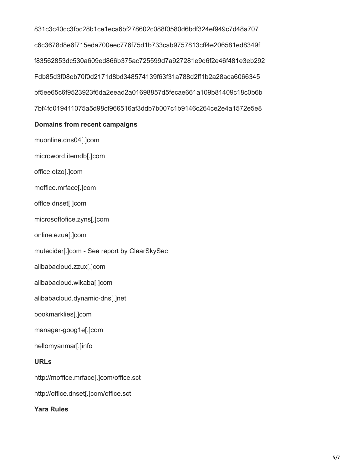831c3c40cc3fbc28b1ce1eca6bf278602c088f0580d6bdf324ef949c7d48a707 c6c3678d8e6f715eda700eec776f75d1b733cab9757813cff4e206581ed8349f f83562853dc530a609ed866b375ac725599d7a927281e9d6f2e46f481e3eb292 Fdb85d3f08eb70f0d2171d8bd348574139f63f31a788d2ff1b2a28aca6066345 bf5ee65c6f9523923f6da2eead2a01698857d5fecae661a109b81409c18c0b6b 7bf4fd019411075a5d98cf966516af3ddb7b007c1b9146c264ce2e4a1572e5e8

### **Domains from recent campaigns**

muonline.dns04[.]com microword.itemdb[.]com office.otzo[.]com

moffice.mrface[.]com

offlce.dnset[.]com

microsoftofice.zyns[.]com

online.ezua[.]com

mutecider[.]com - See report by [ClearSkySec](https://twitter.com/ClearskySec/status/1015362483752718337)

alibabacloud.zzux[.]com

alibabacloud.wikaba[.]com

alibabacloud.dynamic-dns[.]net

bookmarklies[.]com

manager-goog1e[.]com

hellomyanmar[.]info

#### **URLs**

http://moffice.mrface[.]com/office.sct

http://offlce.dnset[.]com/office.sct

**Yara Rules**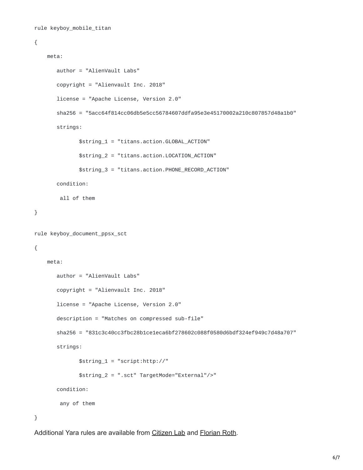```
rule keyboy_mobile_titan
```

```
{
    meta:
       author = "AlienVault Labs"
       copyright = "Alienvault Inc. 2018"
       license = "Apache License, Version 2.0"
       sha256 = "5acc64f814cc06db5e5cc56784607ddfa95e3e45170002a210c807857d48a1b0"
       strings:
              $string_1 = "titans.action.GLOBAL_ACTION"
              $string_2 = "titans.action.LOCATION_ACTION"
              $string_3 = "titans.action.PHONE_RECORD_ACTION"
       condition:
        all of them
}
rule keyboy_document_ppsx_sct
{
    meta:
       author = "AlienVault Labs"
       copyright = "Alienvault Inc. 2018"
       license = "Apache License, Version 2.0"
       description = "Matches on compressed sub-file"
       sha256 = "831c3c40cc3fbc28b1ce1eca6bf278602c088f0580d6bdf324ef949c7d48a707"
       strings:
              $string_1 = "script:http://"
              $string_2 = ".sct" TargetMode="External"/>"
       condition:
        any of them
}
```
Additional Yara rules are available from [Citizen Lab](https://github.com/citizenlab/malware-indicators/blob/master/201611_KeyBoy/keyboy.yar) and [Florian Roth.](https://github.com/Neo23x0/signature-base/blob/master/yara/apt_keyboys.yar)